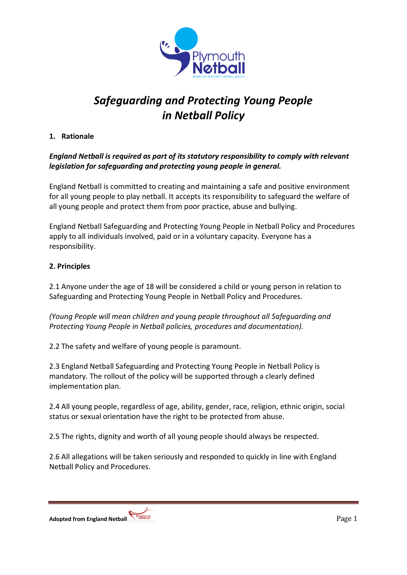

# *Safeguarding and Protecting Young People in Netball Policy*

# **1. Rationale**

# *England Netball is required as part of its statutory responsibility to comply with relevant legislation for safeguarding and protecting young people in general.*

England Netball is committed to creating and maintaining a safe and positive environment for all young people to play netball. It accepts its responsibility to safeguard the welfare of all young people and protect them from poor practice, abuse and bullying.

England Netball Safeguarding and Protecting Young People in Netball Policy and Procedures apply to all individuals involved, paid or in a voluntary capacity. Everyone has a responsibility.

### **2. Principles**

2.1 Anyone under the age of 18 will be considered a child or young person in relation to Safeguarding and Protecting Young People in Netball Policy and Procedures.

*(Young People will mean children and young people throughout all Safeguarding and Protecting Young People in Netball policies, procedures and documentation).*

2.2 The safety and welfare of young people is paramount.

2.3 England Netball Safeguarding and Protecting Young People in Netball Policy is mandatory. The rollout of the policy will be supported through a clearly defined implementation plan.

2.4 All young people, regardless of age, ability, gender, race, religion, ethnic origin, social status or sexual orientation have the right to be protected from abuse.

2.5 The rights, dignity and worth of all young people should always be respected.

2.6 All allegations will be taken seriously and responded to quickly in line with England Netball Policy and Procedures.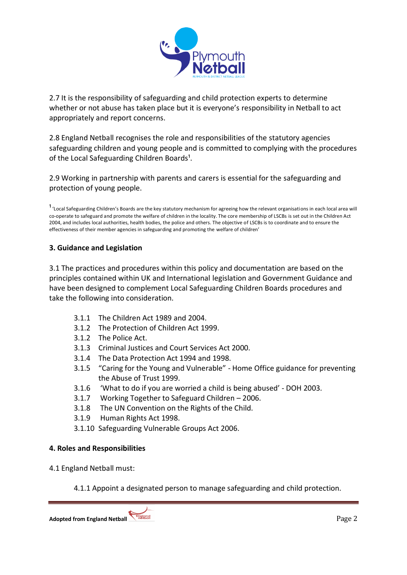

2.7 It is the responsibility of safeguarding and child protection experts to determine whether or not abuse has taken place but it is everyone's responsibility in Netball to act appropriately and report concerns.

2.8 England Netball recognises the role and responsibilities of the statutory agencies safeguarding children and young people and is committed to complying with the procedures of the Local Safeguarding Children Boards<sup>1</sup>.

2.9 Working in partnership with parents and carers is essential for the safeguarding and protection of young people.

<sup>1</sup> 'Local Safeguarding Children's Boards are the key statutory mechanism for agreeing how the relevant organisations in each local area will co-operate to safeguard and promote the welfare of children in the locality. The core membership of LSCBs is set out in the Children Act 2004, and includes local authorities, health bodies, the police and others. The objective of LSCBs is to coordinate and to ensure the effectiveness of their member agencies in safeguarding and promoting the welfare of children'

### **3. Guidance and Legislation**

3.1 The practices and procedures within this policy and documentation are based on the principles contained within UK and International legislation and Government Guidance and have been designed to complement Local Safeguarding Children Boards procedures and take the following into consideration.

- 3.1.1 The Children Act 1989 and 2004.
- 3.1.2 The Protection of Children Act 1999.
- 3.1.2 The Police Act.
- 3.1.3 Criminal Justices and Court Services Act 2000.
- 3.1.4 The Data Protection Act 1994 and 1998.
- 3.1.5 "Caring for the Young and Vulnerable" Home Office guidance for preventing the Abuse of Trust 1999.
- 3.1.6 'What to do if you are worried a child is being abused' DOH 2003.
- 3.1.7 Working Together to Safeguard Children 2006.
- 3.1.8 The UN Convention on the Rights of the Child.
- 3.1.9 Human Rights Act 1998.
- 3.1.10 Safeguarding Vulnerable Groups Act 2006.

#### **4. Roles and Responsibilities**

- 4.1 England Netball must:
	- 4.1.1 Appoint a designated person to manage safeguarding and child protection.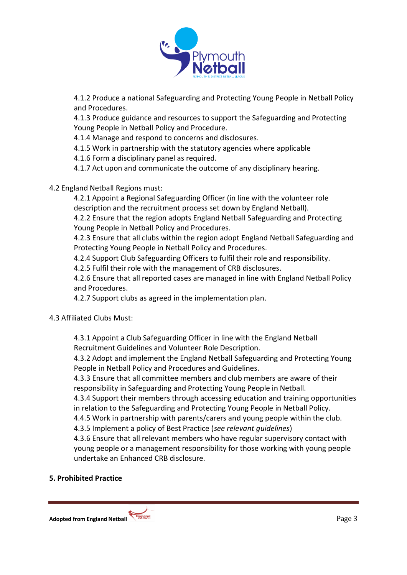

4.1.2 Produce a national Safeguarding and Protecting Young People in Netball Policy and Procedures.

4.1.3 Produce guidance and resources to support the Safeguarding and Protecting Young People in Netball Policy and Procedure.

4.1.4 Manage and respond to concerns and disclosures.

4.1.5 Work in partnership with the statutory agencies where applicable

4.1.6 Form a disciplinary panel as required.

4.1.7 Act upon and communicate the outcome of any disciplinary hearing.

# 4.2 England Netball Regions must:

4.2.1 Appoint a Regional Safeguarding Officer (in line with the volunteer role description and the recruitment process set down by England Netball).

4.2.2 Ensure that the region adopts England Netball Safeguarding and Protecting Young People in Netball Policy and Procedures.

4.2.3 Ensure that all clubs within the region adopt England Netball Safeguarding and Protecting Young People in Netball Policy and Procedures.

4.2.4 Support Club Safeguarding Officers to fulfil their role and responsibility.

4.2.5 Fulfil their role with the management of CRB disclosures.

4.2.6 Ensure that all reported cases are managed in line with England Netball Policy and Procedures.

4.2.7 Support clubs as agreed in the implementation plan.

### 4.3 Affiliated Clubs Must:

4.3.1 Appoint a Club Safeguarding Officer in line with the England Netball Recruitment Guidelines and Volunteer Role Description.

4.3.2 Adopt and implement the England Netball Safeguarding and Protecting Young People in Netball Policy and Procedures and Guidelines.

4.3.3 Ensure that all committee members and club members are aware of their responsibility in Safeguarding and Protecting Young People in Netball.

4.3.4 Support their members through accessing education and training opportunities in relation to the Safeguarding and Protecting Young People in Netball Policy.

4.4.5 Work in partnership with parents/carers and young people within the club.

4.3.5 Implement a policy of Best Practice (*see relevant guidelines*)

4.3.6 Ensure that all relevant members who have regular supervisory contact with young people or a management responsibility for those working with young people undertake an Enhanced CRB disclosure.

### **5. Prohibited Practice**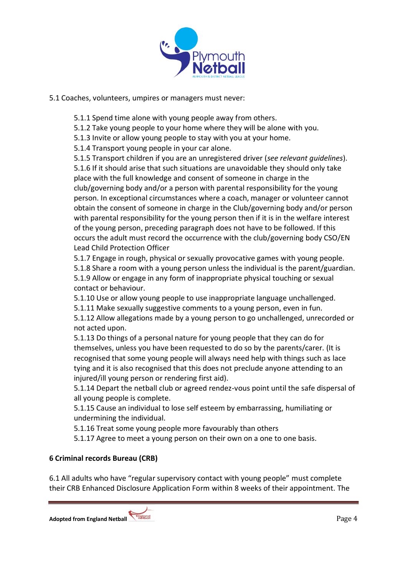

### 5.1 Coaches, volunteers, umpires or managers must never:

5.1.1 Spend time alone with young people away from others.

5.1.2 Take young people to your home where they will be alone with you.

5.1.3 Invite or allow young people to stay with you at your home.

5.1.4 Transport young people in your car alone.

5.1.5 Transport children if you are an unregistered driver (*see relevant guidelines*). 5.1.6 If it should arise that such situations are unavoidable they should only take place with the full knowledge and consent of someone in charge in the club/governing body and/or a person with parental responsibility for the young person. In exceptional circumstances where a coach, manager or volunteer cannot obtain the consent of someone in charge in the Club/governing body and/or person with parental responsibility for the young person then if it is in the welfare interest of the young person, preceding paragraph does not have to be followed. If this occurs the adult must record the occurrence with the club/governing body CSO/EN Lead Child Protection Officer

5.1.7 Engage in rough, physical or sexually provocative games with young people. 5.1.8 Share a room with a young person unless the individual is the parent/guardian. 5.1.9 Allow or engage in any form of inappropriate physical touching or sexual contact or behaviour.

5.1.10 Use or allow young people to use inappropriate language unchallenged. 5.1.11 Make sexually suggestive comments to a young person, even in fun.

5.1.12 Allow allegations made by a young person to go unchallenged, unrecorded or not acted upon.

5.1.13 Do things of a personal nature for young people that they can do for themselves, unless you have been requested to do so by the parents/carer. (It is recognised that some young people will always need help with things such as lace tying and it is also recognised that this does not preclude anyone attending to an injured/ill young person or rendering first aid).

5.1.14 Depart the netball club or agreed rendez-vous point until the safe dispersal of all young people is complete.

5.1.15 Cause an individual to lose self esteem by embarrassing, humiliating or undermining the individual.

5.1.16 Treat some young people more favourably than others

5.1.17 Agree to meet a young person on their own on a one to one basis.

### **6 Criminal records Bureau (CRB)**

6.1 All adults who have "regular supervisory contact with young people" must complete their CRB Enhanced Disclosure Application Form within 8 weeks of their appointment. The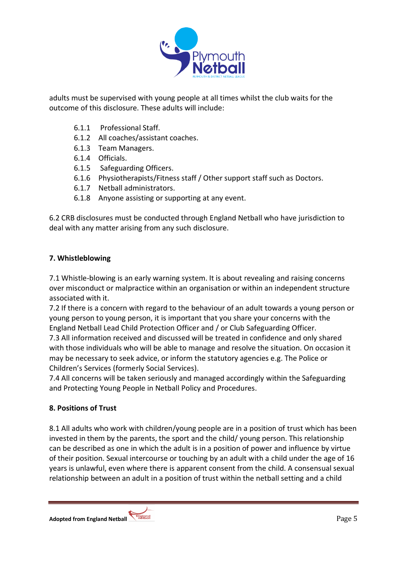

adults must be supervised with young people at all times whilst the club waits for the outcome of this disclosure. These adults will include:

- 6.1.1 Professional Staff.
- 6.1.2 All coaches/assistant coaches.
- 6.1.3 Team Managers.
- 6.1.4 Officials.
- 6.1.5 Safeguarding Officers.
- 6.1.6 Physiotherapists/Fitness staff / Other support staff such as Doctors.
- 6.1.7 Netball administrators.
- 6.1.8 Anyone assisting or supporting at any event.

6.2 CRB disclosures must be conducted through England Netball who have jurisdiction to deal with any matter arising from any such disclosure.

### **7. Whistleblowing**

7.1 Whistle-blowing is an early warning system. It is about revealing and raising concerns over misconduct or malpractice within an organisation or within an independent structure associated with it.

7.2 If there is a concern with regard to the behaviour of an adult towards a young person or young person to young person, it is important that you share your concerns with the England Netball Lead Child Protection Officer and / or Club Safeguarding Officer.

7.3 All information received and discussed will be treated in confidence and only shared with those individuals who will be able to manage and resolve the situation. On occasion it may be necessary to seek advice, or inform the statutory agencies e.g. The Police or Children's Services (formerly Social Services).

7.4 All concerns will be taken seriously and managed accordingly within the Safeguarding and Protecting Young People in Netball Policy and Procedures.

### **8. Positions of Trust**

8.1 All adults who work with children/young people are in a position of trust which has been invested in them by the parents, the sport and the child/ young person. This relationship can be described as one in which the adult is in a position of power and influence by virtue of their position. Sexual intercourse or touching by an adult with a child under the age of 16 years is unlawful, even where there is apparent consent from the child. A consensual sexual relationship between an adult in a position of trust within the netball setting and a child